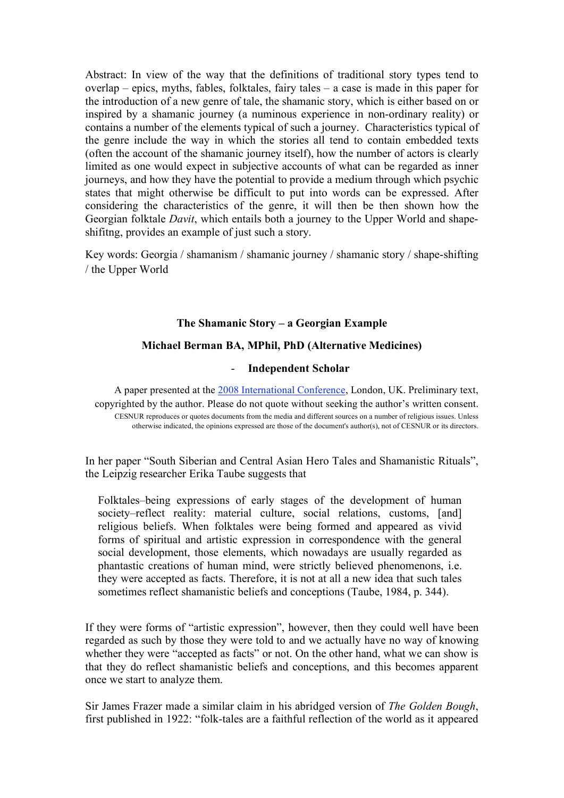Abstract: In view of the way that the definitions of traditional story types tend to overlap – epics, myths, fables, folktales, fairy tales – a case is made in this paper for the introduction of a new genre of tale, the shamanic story, which is either based on or inspired by a shamanic journey (a numinous experience in non-ordinary reality) or contains a number of the elements typical of such a journey. Characteristics typical of the genre include the way in which the stories all tend to contain embedded texts (often the account of the shamanic journey itself), how the number of actors is clearly limited as one would expect in subjective accounts of what can be regarded as inner journeys, and how they have the potential to provide a medium through which psychic states that might otherwise be difficult to put into words can be expressed. After considering the characteristics of the genre, it will then be then shown how the Georgian folktale *Davit*, which entails both a journey to the Upper World and shapeshifitng, provides an example of just such a story.

Key words: Georgia / shamanism / shamanic journey / shamanic story / shape-shifting / the Upper World

## **The Shamanic Story – a Georgian Example**

## **Michael Berman BA, MPhil, PhD (Alternative Medicines)**

## - **Independent Scholar**

A paper presented at the 2008 International Conference, London, UK. Preliminary text, copyrighted by the author. Please do not quote without seeking the author's written consent. CESNUR reproduces or quotes documents from the media and different sources on a number of religious issues. Unless otherwise indicated, the opinions expressed are those of the document's author(s), not of CESNUR or its directors.

In her paper "South Siberian and Central Asian Hero Tales and Shamanistic Rituals", the Leipzig researcher Erika Taube suggests that

Folktales–being expressions of early stages of the development of human society–reflect reality: material culture, social relations, customs, [and] religious beliefs. When folktales were being formed and appeared as vivid forms of spiritual and artistic expression in correspondence with the general social development, those elements, which nowadays are usually regarded as phantastic creations of human mind, were strictly believed phenomenons, i.e. they were accepted as facts. Therefore, it is not at all a new idea that such tales sometimes reflect shamanistic beliefs and conceptions (Taube, 1984, p. 344).

If they were forms of "artistic expression", however, then they could well have been regarded as such by those they were told to and we actually have no way of knowing whether they were "accepted as facts" or not. On the other hand, what we can show is that they do reflect shamanistic beliefs and conceptions, and this becomes apparent once we start to analyze them.

Sir James Frazer made a similar claim in his abridged version of *The Golden Bough*, first published in 1922: "folk-tales are a faithful reflection of the world as it appeared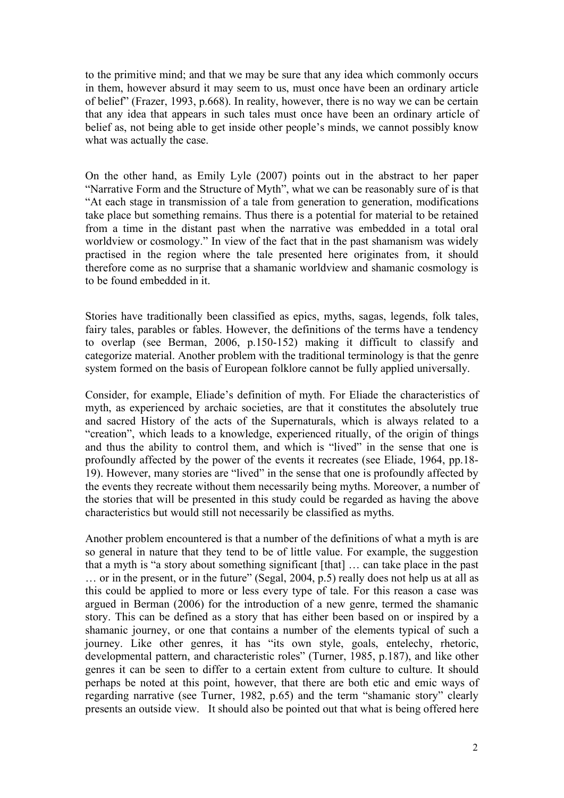to the primitive mind; and that we may be sure that any idea which commonly occurs in them, however absurd it may seem to us, must once have been an ordinary article of belief" (Frazer, 1993, p.668). In reality, however, there is no way we can be certain that any idea that appears in such tales must once have been an ordinary article of belief as, not being able to get inside other people's minds, we cannot possibly know what was actually the case.

On the other hand, as Emily Lyle (2007) points out in the abstract to her paper "Narrative Form and the Structure of Myth", what we can be reasonably sure of is that "At each stage in transmission of a tale from generation to generation, modifications take place but something remains. Thus there is a potential for material to be retained from a time in the distant past when the narrative was embedded in a total oral worldview or cosmology." In view of the fact that in the past shamanism was widely practised in the region where the tale presented here originates from, it should therefore come as no surprise that a shamanic worldview and shamanic cosmology is to be found embedded in it.

Stories have traditionally been classified as epics, myths, sagas, legends, folk tales, fairy tales, parables or fables. However, the definitions of the terms have a tendency to overlap (see Berman, 2006, p.150-152) making it difficult to classify and categorize material. Another problem with the traditional terminology is that the genre system formed on the basis of European folklore cannot be fully applied universally.

Consider, for example, Eliade's definition of myth. For Eliade the characteristics of myth, as experienced by archaic societies, are that it constitutes the absolutely true and sacred History of the acts of the Supernaturals, which is always related to a "creation", which leads to a knowledge, experienced ritually, of the origin of things and thus the ability to control them, and which is "lived" in the sense that one is profoundly affected by the power of the events it recreates (see Eliade, 1964, pp.18- 19). However, many stories are "lived" in the sense that one is profoundly affected by the events they recreate without them necessarily being myths. Moreover, a number of the stories that will be presented in this study could be regarded as having the above characteristics but would still not necessarily be classified as myths.

Another problem encountered is that a number of the definitions of what a myth is are so general in nature that they tend to be of little value. For example, the suggestion that a myth is "a story about something significant [that] … can take place in the past … or in the present, or in the future" (Segal, 2004, p.5) really does not help us at all as this could be applied to more or less every type of tale. For this reason a case was argued in Berman (2006) for the introduction of a new genre, termed the shamanic story. This can be defined as a story that has either been based on or inspired by a shamanic journey, or one that contains a number of the elements typical of such a journey. Like other genres, it has "its own style, goals, entelechy, rhetoric, developmental pattern, and characteristic roles" (Turner, 1985, p.187), and like other genres it can be seen to differ to a certain extent from culture to culture. It should perhaps be noted at this point, however, that there are both etic and emic ways of regarding narrative (see Turner, 1982, p.65) and the term "shamanic story" clearly presents an outside view. It should also be pointed out that what is being offered here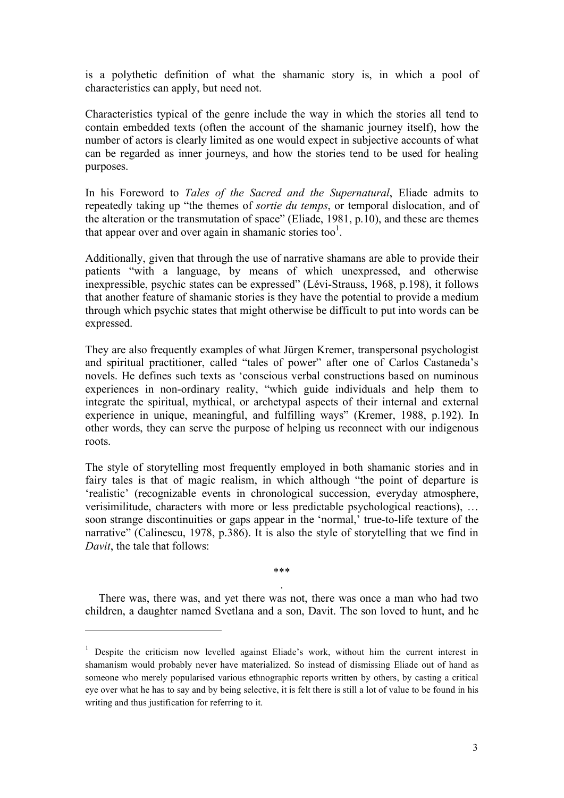is a polythetic definition of what the shamanic story is, in which a pool of characteristics can apply, but need not.

Characteristics typical of the genre include the way in which the stories all tend to contain embedded texts (often the account of the shamanic journey itself), how the number of actors is clearly limited as one would expect in subjective accounts of what can be regarded as inner journeys, and how the stories tend to be used for healing purposes.

In his Foreword to *Tales of the Sacred and the Supernatural*, Eliade admits to repeatedly taking up "the themes of *sortie du temps*, or temporal dislocation, and of the alteration or the transmutation of space" (Eliade, 1981, p.10), and these are themes that appear over and over again in shamanic stories too $^1$ .

Additionally, given that through the use of narrative shamans are able to provide their patients "with a language, by means of which unexpressed, and otherwise inexpressible, psychic states can be expressed" (Lévi-Strauss, 1968, p.198), it follows that another feature of shamanic stories is they have the potential to provide a medium through which psychic states that might otherwise be difficult to put into words can be expressed.

They are also frequently examples of what Jürgen Kremer, transpersonal psychologist and spiritual practitioner, called "tales of power" after one of Carlos Castaneda's novels. He defines such texts as 'conscious verbal constructions based on numinous experiences in non-ordinary reality, "which guide individuals and help them to integrate the spiritual, mythical, or archetypal aspects of their internal and external experience in unique, meaningful, and fulfilling ways" (Kremer, 1988, p.192). In other words, they can serve the purpose of helping us reconnect with our indigenous roots.

The style of storytelling most frequently employed in both shamanic stories and in fairy tales is that of magic realism, in which although "the point of departure is 'realistic' (recognizable events in chronological succession, everyday atmosphere, verisimilitude, characters with more or less predictable psychological reactions), … soon strange discontinuities or gaps appear in the 'normal,' true-to-life texture of the narrative" (Calinescu, 1978, p.386). It is also the style of storytelling that we find in *Davit*, the tale that follows:

> \*\*\* .

There was, there was, and yet there was not, there was once a man who had two children, a daughter named Svetlana and a son, Davit. The son loved to hunt, and he

1

<sup>&</sup>lt;sup>1</sup> Despite the criticism now levelled against Eliade's work, without him the current interest in shamanism would probably never have materialized. So instead of dismissing Eliade out of hand as someone who merely popularised various ethnographic reports written by others, by casting a critical eye over what he has to say and by being selective, it is felt there is still a lot of value to be found in his writing and thus justification for referring to it.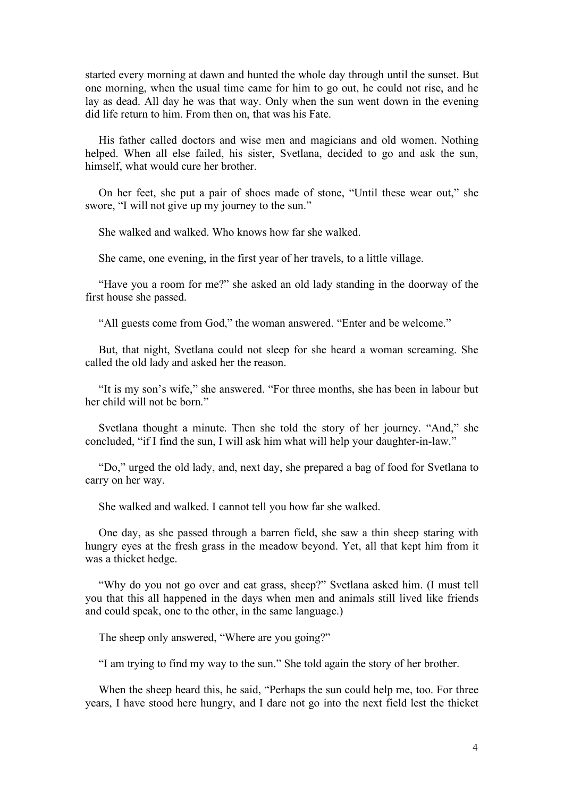started every morning at dawn and hunted the whole day through until the sunset. But one morning, when the usual time came for him to go out, he could not rise, and he lay as dead. All day he was that way. Only when the sun went down in the evening did life return to him. From then on, that was his Fate.

His father called doctors and wise men and magicians and old women. Nothing helped. When all else failed, his sister, Svetlana, decided to go and ask the sun, himself, what would cure her brother.

On her feet, she put a pair of shoes made of stone, "Until these wear out," she swore, "I will not give up my journey to the sun."

She walked and walked. Who knows how far she walked.

She came, one evening, in the first year of her travels, to a little village.

"Have you a room for me?" she asked an old lady standing in the doorway of the first house she passed.

"All guests come from God," the woman answered. "Enter and be welcome."

But, that night, Svetlana could not sleep for she heard a woman screaming. She called the old lady and asked her the reason.

"It is my son's wife," she answered. "For three months, she has been in labour but her child will not be born."

Svetlana thought a minute. Then she told the story of her journey. "And," she concluded, "if I find the sun, I will ask him what will help your daughter-in-law."

"Do," urged the old lady, and, next day, she prepared a bag of food for Svetlana to carry on her way.

She walked and walked. I cannot tell you how far she walked.

One day, as she passed through a barren field, she saw a thin sheep staring with hungry eyes at the fresh grass in the meadow beyond. Yet, all that kept him from it was a thicket hedge.

"Why do you not go over and eat grass, sheep?" Svetlana asked him. (I must tell you that this all happened in the days when men and animals still lived like friends and could speak, one to the other, in the same language.)

The sheep only answered, "Where are you going?"

"I am trying to find my way to the sun." She told again the story of her brother.

When the sheep heard this, he said, "Perhaps the sun could help me, too. For three years, I have stood here hungry, and I dare not go into the next field lest the thicket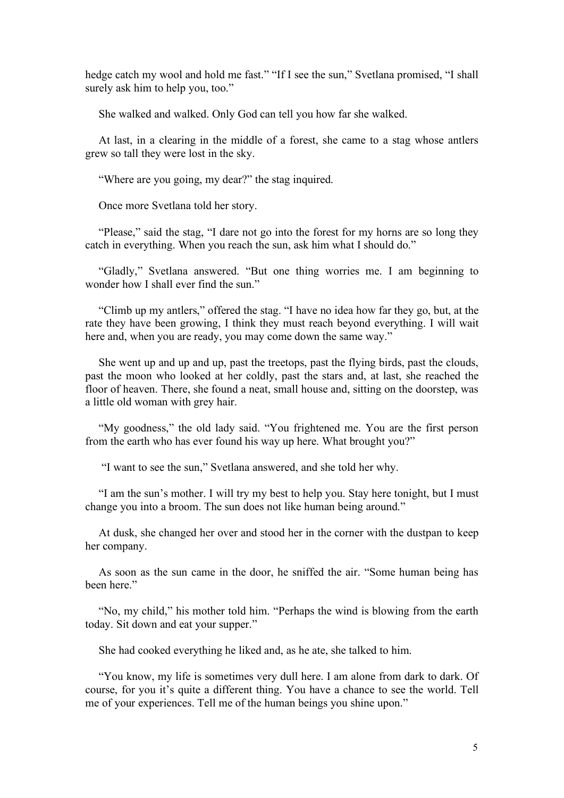hedge catch my wool and hold me fast." "If I see the sun," Svetlana promised, "I shall surely ask him to help you, too."

She walked and walked. Only God can tell you how far she walked.

At last, in a clearing in the middle of a forest, she came to a stag whose antlers grew so tall they were lost in the sky.

"Where are you going, my dear?" the stag inquired.

Once more Svetlana told her story.

"Please," said the stag, "I dare not go into the forest for my horns are so long they catch in everything. When you reach the sun, ask him what I should do."

"Gladly," Svetlana answered. "But one thing worries me. I am beginning to wonder how I shall ever find the sun."

"Climb up my antlers," offered the stag. "I have no idea how far they go, but, at the rate they have been growing, I think they must reach beyond everything. I will wait here and, when you are ready, you may come down the same way."

She went up and up and up, past the treetops, past the flying birds, past the clouds, past the moon who looked at her coldly, past the stars and, at last, she reached the floor of heaven. There, she found a neat, small house and, sitting on the doorstep, was a little old woman with grey hair.

"My goodness," the old lady said. "You frightened me. You are the first person from the earth who has ever found his way up here. What brought you?"

"I want to see the sun," Svetlana answered, and she told her why.

"I am the sun's mother. I will try my best to help you. Stay here tonight, but I must change you into a broom. The sun does not like human being around."

At dusk, she changed her over and stood her in the corner with the dustpan to keep her company.

As soon as the sun came in the door, he sniffed the air. "Some human being has been here."

"No, my child," his mother told him. "Perhaps the wind is blowing from the earth today. Sit down and eat your supper."

She had cooked everything he liked and, as he ate, she talked to him.

"You know, my life is sometimes very dull here. I am alone from dark to dark. Of course, for you it's quite a different thing. You have a chance to see the world. Tell me of your experiences. Tell me of the human beings you shine upon."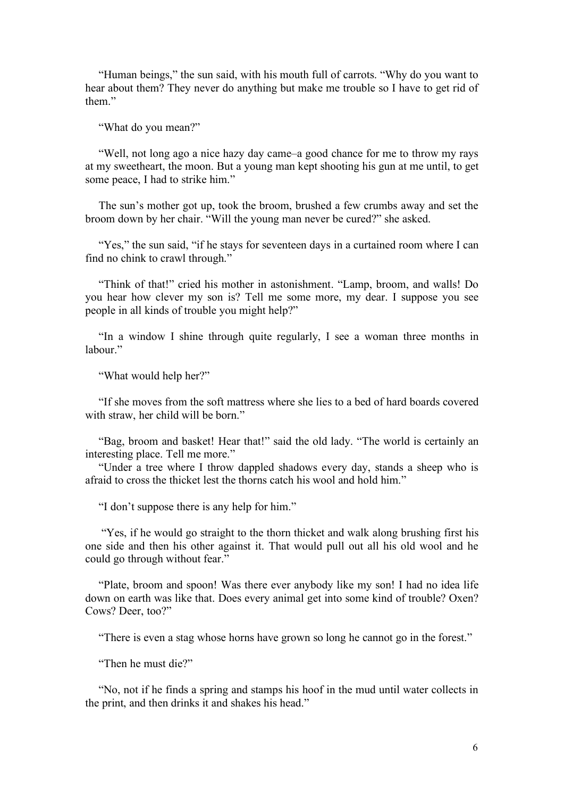"Human beings," the sun said, with his mouth full of carrots. "Why do you want to hear about them? They never do anything but make me trouble so I have to get rid of them"

"What do you mean?"

"Well, not long ago a nice hazy day came–a good chance for me to throw my rays at my sweetheart, the moon. But a young man kept shooting his gun at me until, to get some peace, I had to strike him."

The sun's mother got up, took the broom, brushed a few crumbs away and set the broom down by her chair. "Will the young man never be cured?" she asked.

"Yes," the sun said, "if he stays for seventeen days in a curtained room where I can find no chink to crawl through."

"Think of that!" cried his mother in astonishment. "Lamp, broom, and walls! Do you hear how clever my son is? Tell me some more, my dear. I suppose you see people in all kinds of trouble you might help?"

"In a window I shine through quite regularly, I see a woman three months in labour<sup>"</sup>

"What would help her?"

"If she moves from the soft mattress where she lies to a bed of hard boards covered with straw, her child will be born."

"Bag, broom and basket! Hear that!" said the old lady. "The world is certainly an interesting place. Tell me more."

"Under a tree where I throw dappled shadows every day, stands a sheep who is afraid to cross the thicket lest the thorns catch his wool and hold him."

"I don't suppose there is any help for him."

"Yes, if he would go straight to the thorn thicket and walk along brushing first his one side and then his other against it. That would pull out all his old wool and he could go through without fear."

"Plate, broom and spoon! Was there ever anybody like my son! I had no idea life down on earth was like that. Does every animal get into some kind of trouble? Oxen? Cows? Deer, too?"

"There is even a stag whose horns have grown so long he cannot go in the forest."

"Then he must die?"

"No, not if he finds a spring and stamps his hoof in the mud until water collects in the print, and then drinks it and shakes his head."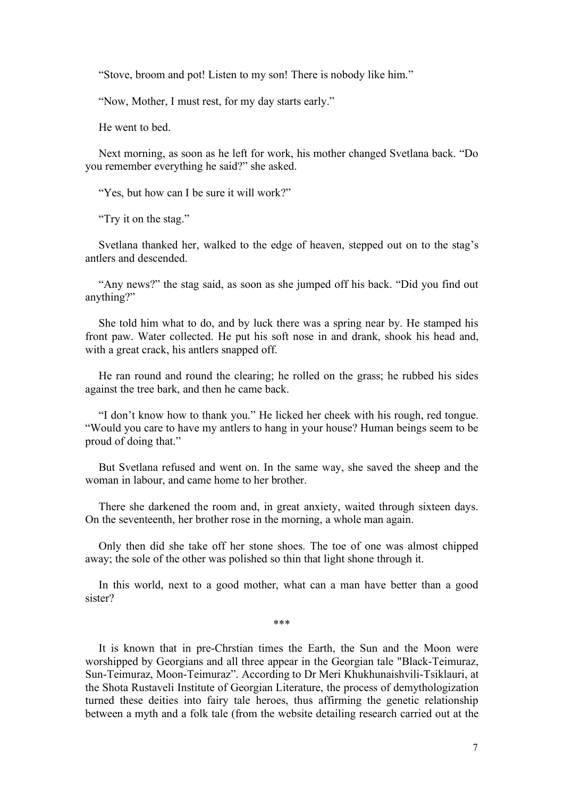"Stove, broom and pot! Listen to my son! There is nobody like him."

"Now, Mother, I must rest, for my day starts early."

He went to bed.

Next morning, as soon as he left for work, his mother changed Svetlana back. "Do you remember everything he said?" she asked.

"Yes, but how can I be sure it will work?"

"Try it on the stag."

Svetlana thanked her, walked to the edge of heaven, stepped out on to the stag's antlers and descended.

"Any news?" the stag said, as soon as she jumped off his back. "Did you find out anything?"

She told him what to do, and by luck there was a spring near by. He stamped his front paw. Water collected. He put his soft nose in and drank, shook his head and, with a great crack, his antlers snapped off.

He ran round and round the clearing; he rolled on the grass; he rubbed his sides against the tree bark, and then he came back.

"I don't know how to thank you." He licked her cheek with his rough, red tongue. "Would you care to have my antlers to hang in your house? Human beings seem to be proud of doing that."

But Svetlana refused and went on. In the same way, she saved the sheep and the woman in labour, and came home to her brother.

There she darkened the room and, in great anxiety, waited through sixteen days. On the seventeenth, her brother rose in the morning, a whole man again.

Only then did she take off her stone shoes. The toe of one was almost chipped away; the sole of the other was polished so thin that light shone through it.

In this world, next to a good mother, what can a man have better than a good sister?

\*\*\*

It is known that in pre-Chrstian times the Earth, the Sun and the Moon were worshipped by Georgians and all three appear in the Georgian tale "Black-Teimuraz, Sun-Teimuraz, Moon-Teimuraz". According to Dr Meri Khukhunaishvili-Tsiklauri, at the Shota Rustaveli Institute of Georgian Literature, the process of demythologization turned these deities into fairy tale heroes, thus affirming the genetic relationship between a myth and a folk tale (from the website detailing research carried out at the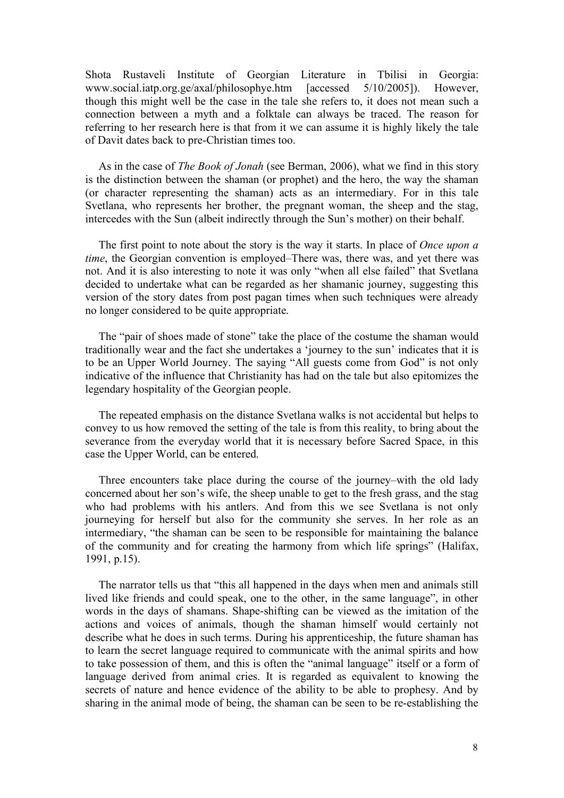Shota Rustaveli Institute of Georgian Literature in Tbilisi in Georgia: www.social.iatp.org.ge/axal/philosophye.htm [accessed 5/10/2005]). However, though this might well be the case in the tale she refers to, it does not mean such a connection between a myth and a folktale can always be traced. The reason for referring to her research here is that from it we can assume it is highly likely the tale of Davit dates back to pre-Christian times too.

As in the case of *The Book of Jonah* (see Berman, 2006), what we find in this story is the distinction between the shaman (or prophet) and the hero, the way the shaman (or character representing the shaman) acts as an intermediary. For in this tale Svetlana, who represents her brother, the pregnant woman, the sheep and the stag, intercedes with the Sun (albeit indirectly through the Sun's mother) on their behalf.

The first point to note about the story is the way it starts. In place of *Once upon a time*, the Georgian convention is employed–There was, there was, and yet there was not. And it is also interesting to note it was only "when all else failed" that Svetlana decided to undertake what can be regarded as her shamanic journey, suggesting this version of the story dates from post pagan times when such techniques were already no longer considered to be quite appropriate.

The "pair of shoes made of stone" take the place of the costume the shaman would traditionally wear and the fact she undertakes a 'journey to the sun' indicates that it is to be an Upper World Journey. The saying "All guests come from God" is not only indicative of the influence that Christianity has had on the tale but also epitomizes the legendary hospitality of the Georgian people.

The repeated emphasis on the distance Svetlana walks is not accidental but helps to convey to us how removed the setting of the tale is from this reality, to bring about the severance from the everyday world that it is necessary before Sacred Space, in this case the Upper World, can be entered.

Three encounters take place during the course of the journey–with the old lady concerned about her son's wife, the sheep unable to get to the fresh grass, and the stag who had problems with his antlers. And from this we see Svetlana is not only journeying for herself but also for the community she serves. In her role as an intermediary, "the shaman can be seen to be responsible for maintaining the balance of the community and for creating the harmony from which life springs" (Halifax, 1991, p.15).

The narrator tells us that "this all happened in the days when men and animals still lived like friends and could speak, one to the other, in the same language", in other words in the days of shamans. Shape-shifting can be viewed as the imitation of the actions and voices of animals, though the shaman himself would certainly not describe what he does in such terms. During his apprenticeship, the future shaman has to learn the secret language required to communicate with the animal spirits and how to take possession of them, and this is often the "animal language" itself or a form of language derived from animal cries. It is regarded as equivalent to knowing the secrets of nature and hence evidence of the ability to be able to prophesy. And by sharing in the animal mode of being, the shaman can be seen to be re-establishing the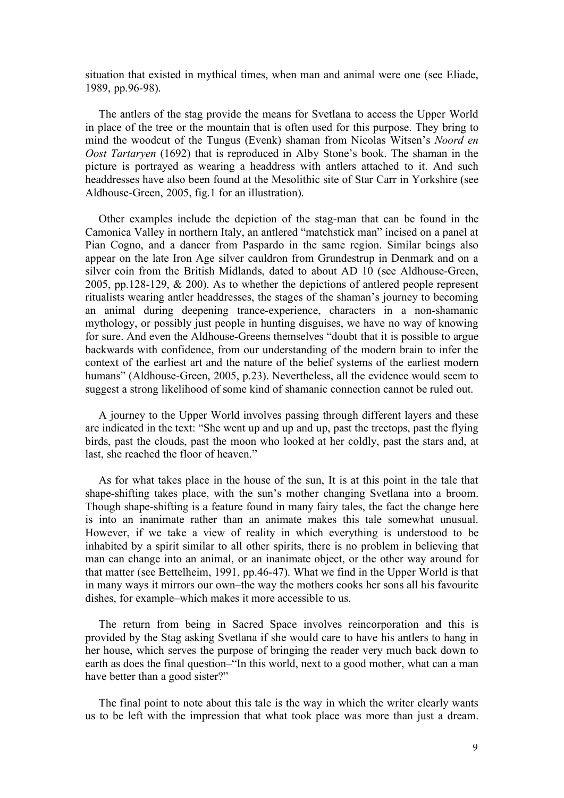situation that existed in mythical times, when man and animal were one (see Eliade, 1989, pp.96-98).

The antlers of the stag provide the means for Svetlana to access the Upper World in place of the tree or the mountain that is often used for this purpose. They bring to mind the woodcut of the Tungus (Evenk) shaman from Nicolas Witsen's *Noord en Oost Tartaryen* (1692) that is reproduced in Alby Stone's book. The shaman in the picture is portrayed as wearing a headdress with antlers attached to it. And such headdresses have also been found at the Mesolithic site of Star Carr in Yorkshire (see Aldhouse-Green, 2005, fig.1 for an illustration).

Other examples include the depiction of the stag-man that can be found in the Camonica Valley in northern Italy, an antlered "matchstick man" incised on a panel at Pian Cogno, and a dancer from Paspardo in the same region. Similar beings also appear on the late Iron Age silver cauldron from Grundestrup in Denmark and on a silver coin from the British Midlands, dated to about AD 10 (see Aldhouse-Green, 2005, pp.128-129, & 200). As to whether the depictions of antlered people represent ritualists wearing antler headdresses, the stages of the shaman's journey to becoming an animal during deepening trance-experience, characters in a non-shamanic mythology, or possibly just people in hunting disguises, we have no way of knowing for sure. And even the Aldhouse-Greens themselves "doubt that it is possible to argue backwards with confidence, from our understanding of the modern brain to infer the context of the earliest art and the nature of the belief systems of the earliest modern humans" (Aldhouse-Green, 2005, p.23). Nevertheless, all the evidence would seem to suggest a strong likelihood of some kind of shamanic connection cannot be ruled out.

A journey to the Upper World involves passing through different layers and these are indicated in the text: "She went up and up and up, past the treetops, past the flying birds, past the clouds, past the moon who looked at her coldly, past the stars and, at last, she reached the floor of heaven."

As for what takes place in the house of the sun, It is at this point in the tale that shape-shifting takes place, with the sun's mother changing Svetlana into a broom. Though shape-shifting is a feature found in many fairy tales, the fact the change here is into an inanimate rather than an animate makes this tale somewhat unusual. However, if we take a view of reality in which everything is understood to be inhabited by a spirit similar to all other spirits, there is no problem in believing that man can change into an animal, or an inanimate object, or the other way around for that matter (see Bettelheim, 1991, pp.46-47). What we find in the Upper World is that in many ways it mirrors our own–the way the mothers cooks her sons all his favourite dishes, for example–which makes it more accessible to us.

The return from being in Sacred Space involves reincorporation and this is provided by the Stag asking Svetlana if she would care to have his antlers to hang in her house, which serves the purpose of bringing the reader very much back down to earth as does the final question–"In this world, next to a good mother, what can a man have better than a good sister?"

The final point to note about this tale is the way in which the writer clearly wants us to be left with the impression that what took place was more than just a dream.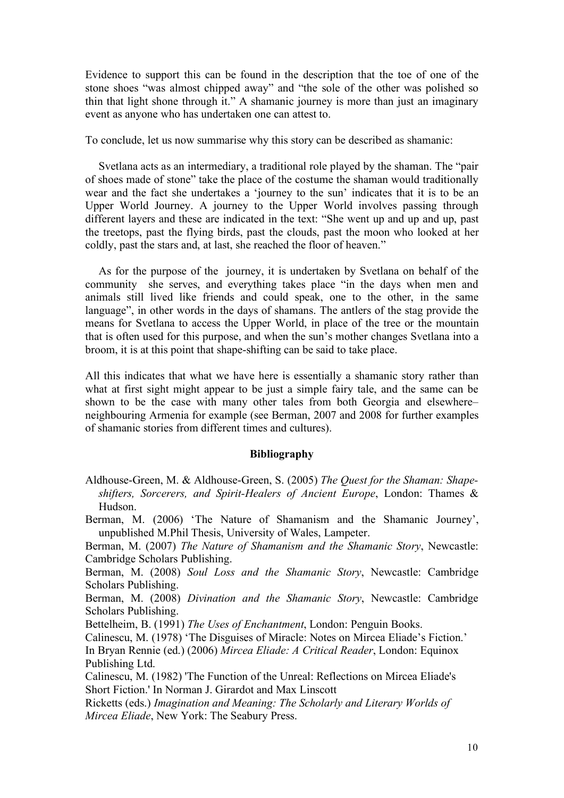Evidence to support this can be found in the description that the toe of one of the stone shoes "was almost chipped away" and "the sole of the other was polished so thin that light shone through it." A shamanic journey is more than just an imaginary event as anyone who has undertaken one can attest to.

To conclude, let us now summarise why this story can be described as shamanic:

Svetlana acts as an intermediary, a traditional role played by the shaman. The "pair of shoes made of stone" take the place of the costume the shaman would traditionally wear and the fact she undertakes a 'journey to the sun' indicates that it is to be an Upper World Journey. A journey to the Upper World involves passing through different layers and these are indicated in the text: "She went up and up and up, past the treetops, past the flying birds, past the clouds, past the moon who looked at her coldly, past the stars and, at last, she reached the floor of heaven."

As for the purpose of the journey, it is undertaken by Svetlana on behalf of the community she serves, and everything takes place "in the days when men and animals still lived like friends and could speak, one to the other, in the same language", in other words in the days of shamans. The antlers of the stag provide the means for Svetlana to access the Upper World, in place of the tree or the mountain that is often used for this purpose, and when the sun's mother changes Svetlana into a broom, it is at this point that shape-shifting can be said to take place.

All this indicates that what we have here is essentially a shamanic story rather than what at first sight might appear to be just a simple fairy tale, and the same can be shown to be the case with many other tales from both Georgia and elsewhere– neighbouring Armenia for example (see Berman, 2007 and 2008 for further examples of shamanic stories from different times and cultures).

## **Bibliography**

Aldhouse-Green, M. & Aldhouse-Green, S. (2005) *The Quest for the Shaman: Shapeshifters, Sorcerers, and Spirit-Healers of Ancient Europe*, London: Thames & Hudson.

Berman, M. (2006) 'The Nature of Shamanism and the Shamanic Journey', unpublished M.Phil Thesis, University of Wales, Lampeter.

Berman, M. (2007) *The Nature of Shamanism and the Shamanic Story*, Newcastle: Cambridge Scholars Publishing.

Berman, M. (2008) *Soul Loss and the Shamanic Story*, Newcastle: Cambridge Scholars Publishing.

Berman, M. (2008) *Divination and the Shamanic Story*, Newcastle: Cambridge Scholars Publishing.

Bettelheim, B. (1991) *The Uses of Enchantment*, London: Penguin Books.

Calinescu, M. (1978) 'The Disguises of Miracle: Notes on Mircea Eliade's Fiction.'

In Bryan Rennie (ed.) (2006) *Mircea Eliade: A Critical Reader*, London: Equinox Publishing Ltd.

Calinescu, M. (1982) 'The Function of the Unreal: Reflections on Mircea Eliade's Short Fiction.' In Norman J. Girardot and Max Linscott

Ricketts (eds.) *Imagination and Meaning: The Scholarly and Literary Worlds of Mircea Eliade*, New York: The Seabury Press.